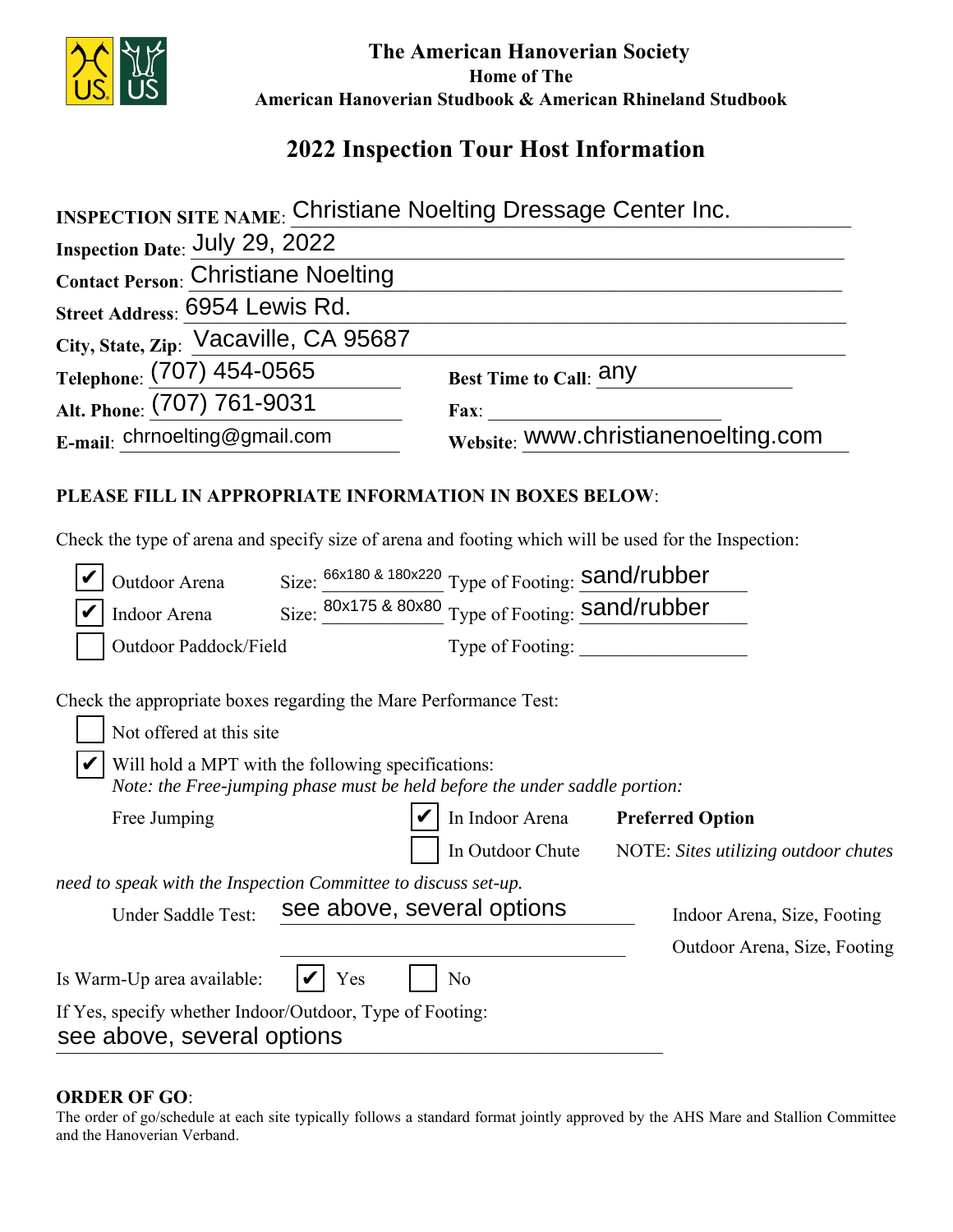

 **The American Hanoverian Society Home of The American Hanoverian Studbook & American Rhineland Studbook**

## **2022 Inspection Tour Host Information**

| <b>INSPECTION SITE NAME: Christiane Noelting Dressage Center Inc.</b>                                                            |                                                                                                      |
|----------------------------------------------------------------------------------------------------------------------------------|------------------------------------------------------------------------------------------------------|
| <b>Inspection Date: July 29, 2022</b>                                                                                            |                                                                                                      |
| <b>Contact Person: Christiane Noelting</b>                                                                                       |                                                                                                      |
| Street Address: 6954 Lewis Rd.                                                                                                   |                                                                                                      |
| City, State, Zip: Vacaville, CA 95687                                                                                            |                                                                                                      |
| Telephone: (707) 454-0565                                                                                                        | Best Time to Call: any                                                                               |
| Alt. Phone: (707) 761-9031                                                                                                       | Fax:                                                                                                 |
| E-mail: chrnoelting@gmail.com                                                                                                    | website: www.christianenoelting.com                                                                  |
| PLEASE FILL IN APPROPRIATE INFORMATION IN BOXES BELOW:                                                                           | Check the type of arena and specify size of arena and footing which will be used for the Inspection: |
| Outdoor Arena                                                                                                                    | Size: 66x180 & 180x220 Type of Footing: Sand/rubber                                                  |
| Indoor Arena                                                                                                                     | Size: 80x175 & 80x80 Type of Footing: Sand/rubber                                                    |
| Outdoor Paddock/Field                                                                                                            |                                                                                                      |
| Check the appropriate boxes regarding the Mare Performance Test:                                                                 |                                                                                                      |
| Not offered at this site                                                                                                         |                                                                                                      |
| Will hold a MPT with the following specifications:<br>Note: the Free-jumping phase must be held before the under saddle portion: |                                                                                                      |
| Free Jumping                                                                                                                     | In Indoor Arena<br><b>Preferred Option</b>                                                           |
|                                                                                                                                  | In Outdoor Chute<br>NOTE: Sites utilizing outdoor chutes                                             |
| need to speak with the Inspection Committee to discuss set-up.                                                                   |                                                                                                      |
| Under Saddle Test:                                                                                                               | see above, several options<br>Indoor Arena, Size, Footing                                            |
|                                                                                                                                  | Outdoor Arena, Size, Footing                                                                         |
| Is Warm-Up area available:<br>Yes                                                                                                | N <sub>0</sub>                                                                                       |
| If Yes, specify whether Indoor/Outdoor, Type of Footing:<br>see above, several options                                           |                                                                                                      |

## **ORDER OF GO**:

The order of go/schedule at each site typically follows a standard format jointly approved by the AHS Mare and Stallion Committee and the Hanoverian Verband.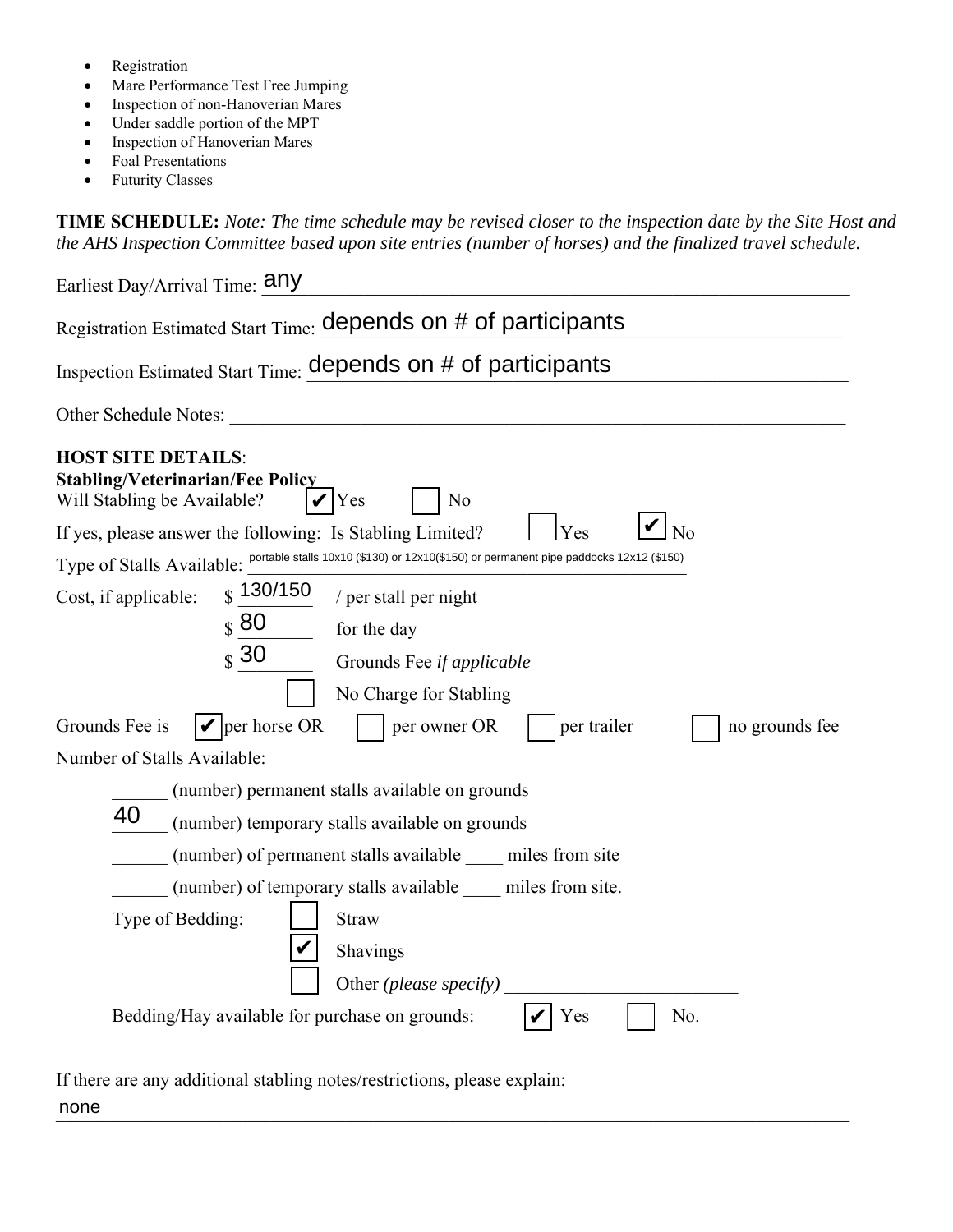- Registration
- Mare Performance Test Free Jumping
- Inspection of non-Hanoverian Mares
- Under saddle portion of the MPT
- Inspection of Hanoverian Mares
- Foal Presentations
- Futurity Classes

**TIME SCHEDULE:** *Note: The time schedule may be revised closer to the inspection date by the Site Host and the AHS Inspection Committee based upon site entries (number of horses) and the finalized travel schedule.* 

| Earliest Day/Arrival Time: <b>Any</b>                                                                                                                                                                                                                                                                                                             |
|---------------------------------------------------------------------------------------------------------------------------------------------------------------------------------------------------------------------------------------------------------------------------------------------------------------------------------------------------|
| Registration Estimated Start Time: depends on # of participants                                                                                                                                                                                                                                                                                   |
| Inspection Estimated Start Time: depends on # of participants                                                                                                                                                                                                                                                                                     |
| Other Schedule Notes:                                                                                                                                                                                                                                                                                                                             |
| <b>HOST SITE DETAILS:</b><br><b>Stabling/Veterinarian/Fee Policy</b><br>Will Stabling be Available?<br>Yes<br>N <sub>0</sub><br>Yes<br>N <sub>o</sub><br>If yes, please answer the following: Is Stabling Limited?                                                                                                                                |
| Type of Stalls Available: portable stalls 10x10 (\$130) or 12x10(\$150) or permanent pipe paddocks 12x12 (\$150)                                                                                                                                                                                                                                  |
| $\frac{1}{3}$ 130/150<br>Cost, if applicable:<br>/ per stall per night<br>$\boldsymbol{\mathcal{S}}$ 80<br>for the day<br>$\boldsymbol{\mathsf{s}}$ 30<br>Grounds Fee if applicable<br>No Charge for Stabling<br>$\mathbf{\nabla}$ per horse OR<br>Grounds Fee is<br>per owner OR<br>per trailer<br>no grounds fee<br>Number of Stalls Available: |
| (number) permanent stalls available on grounds                                                                                                                                                                                                                                                                                                    |
| 40<br>(number) temporary stalls available on grounds                                                                                                                                                                                                                                                                                              |
| (number) of permanent stalls available miles from site                                                                                                                                                                                                                                                                                            |
| (number) of temporary stalls available miles from site.                                                                                                                                                                                                                                                                                           |
| Type of Bedding:<br><b>Straw</b><br>Shavings<br>Other (please specify)                                                                                                                                                                                                                                                                            |
| Bedding/Hay available for purchase on grounds:<br>Yes<br>No.                                                                                                                                                                                                                                                                                      |

If there are any additional stabling notes/restrictions, please explain:

none none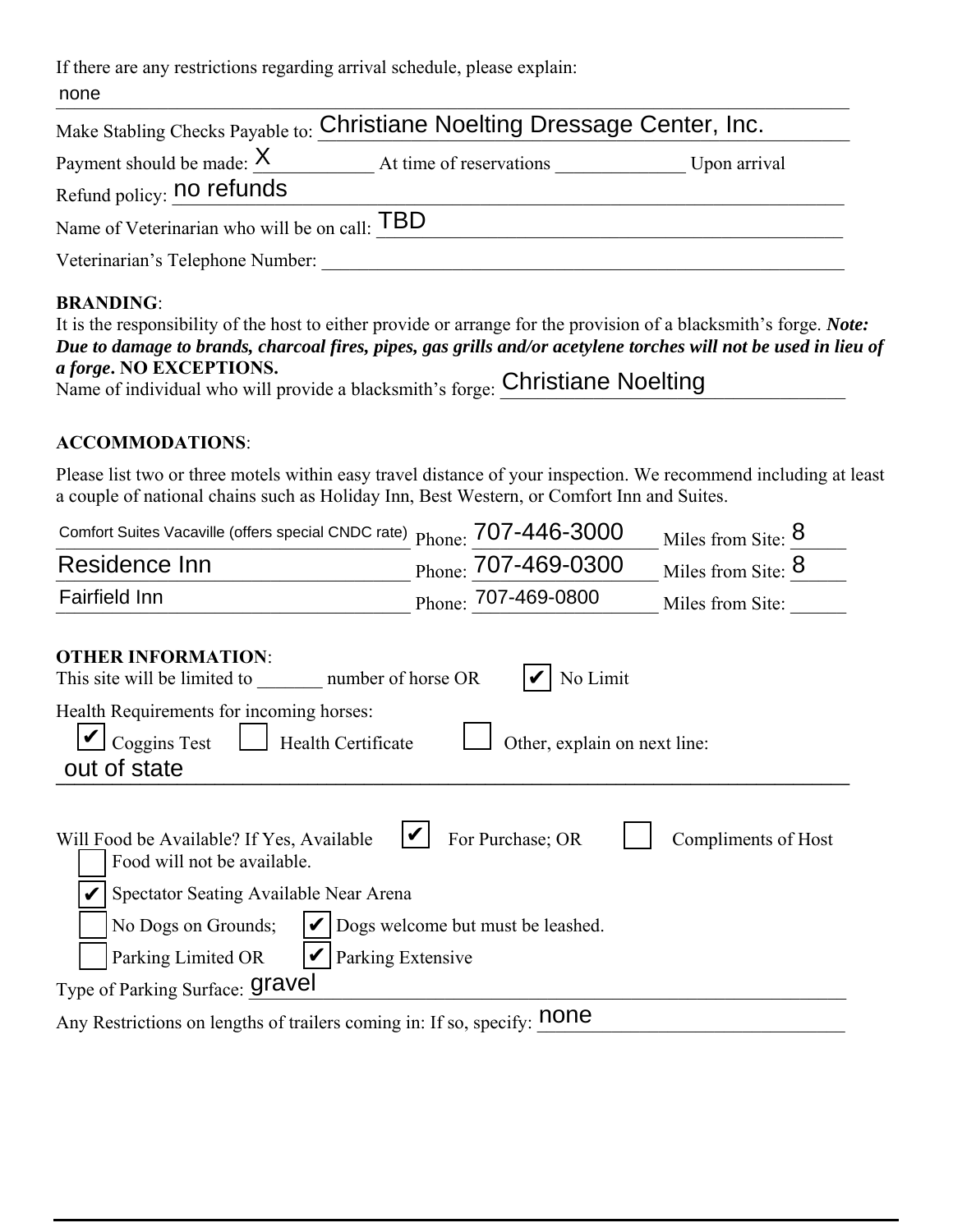If there are any restrictions regarding arrival schedule, please explain:

|                                               | Make Stabling Checks Payable to: Christiane Noelting Dressage Center, Inc. |              |
|-----------------------------------------------|----------------------------------------------------------------------------|--------------|
| Payment should be made: $X$                   | At time of reservations                                                    | Upon arrival |
| Refund policy: no refunds                     |                                                                            |              |
| Name of Veterinarian who will be on call: TBD |                                                                            |              |
| Veterinarian's Telephone Number:              |                                                                            |              |

## **BRANDING**:

| It is the responsibility of the host to either provide or arrange for the provision of a blacksmith's forge. <i>Note</i> : |
|----------------------------------------------------------------------------------------------------------------------------|
| Due to damage to brands, charcoal fires, pipes, gas grills and/or acetylene torches will not be used in lieu of            |
| <i>a forge.</i> NO EXCEPTIONS.                                                                                             |
| Name of individual who will provide a blacksmith's forge: Christiane Noelting                                              |

## **ACCOMMODATIONS**:

Please list two or three motels within easy travel distance of your inspection. We recommend including at least a couple of national chains such as Holiday Inn, Best Western, or Comfort Inn and Suites.

| Comfort Suites Vacaville (offers special CNDC rate) Phone: 707-446-3000                                                                                                              |                                                       |                              | Miles from Site: 8  |  |
|--------------------------------------------------------------------------------------------------------------------------------------------------------------------------------------|-------------------------------------------------------|------------------------------|---------------------|--|
| Residence Inn                                                                                                                                                                        | Phone: 707-469-0300                                   |                              | Miles from Site: 8  |  |
| <b>Fairfield Inn</b>                                                                                                                                                                 | Phone: 707-469-0800                                   |                              | Miles from Site:    |  |
| <b>OTHER INFORMATION:</b><br>number of horse OR<br>This site will be limited to                                                                                                      |                                                       | No Limit                     |                     |  |
| Health Requirements for incoming horses:<br>Coggins Test<br>Health Certificate<br>out of state                                                                                       |                                                       | Other, explain on next line: |                     |  |
| Will Food be Available? If Yes, Available<br>Food will not be available.<br>Spectator Seating Available Near Arena<br>No Dogs on Grounds;<br>Parking Extensive<br>Parking Limited OR | For Purchase; OR<br>Dogs welcome but must be leashed. |                              | Compliments of Host |  |
| Type of Parking Surface: <b>Gravel</b>                                                                                                                                               |                                                       |                              |                     |  |
| Any Restrictions on lengths of trailers coming in: If so, specify: <b>none</b>                                                                                                       |                                                       |                              |                     |  |